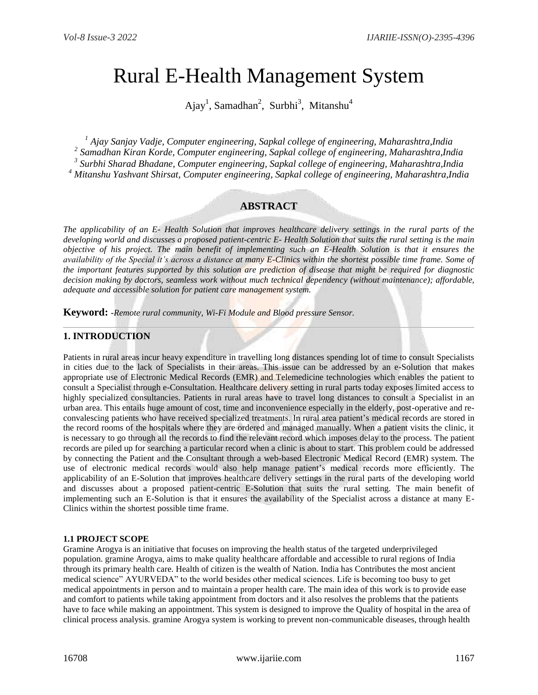# Rural E-Health Management System

Ajay<sup>1</sup>, Samadhan<sup>2</sup>, Surbhi<sup>3</sup>, Mitanshu<sup>4</sup>

 *Ajay Sanjay Vadje, Computer engineering, Sapkal college of engineering, Maharashtra,India Samadhan Kiran Korde, Computer engineering, Sapkal college of engineering, Maharashtra,India Surbhi Sharad Bhadane, Computer engineering, Sapkal college of engineering, Maharashtra,India Mitanshu Yashvant Shirsat, Computer engineering, Sapkal college of engineering, Maharashtra,India*

# **ABSTRACT**

*The applicability of an E- Health Solution that improves healthcare delivery settings in the rural parts of the developing world and discusses a proposed patient-centric E- Health Solution that suits the rural setting is the main objective of his project. The main benefit of implementing such an E-Health Solution is that it ensures the availability of the Special it's across a distance at many E-Clinics within the shortest possible time frame. Some of the important features supported by this solution are prediction of disease that might be required for diagnostic decision making by doctors, seamless work without much technical dependency (without maintenance); affordable, adequate and accessible solution for patient care management system.*

**Keyword: -***Remote rural community, Wi-Fi Module and Blood pressure Sensor.*

## **1. INTRODUCTION**

Patients in rural areas incur heavy expenditure in travelling long distances spending lot of time to consult Specialists in cities due to the lack of Specialists in their areas. This issue can be addressed by an e-Solution that makes appropriate use of Electronic Medical Records (EMR) and Telemedicine technologies which enables the patient to consult a Specialist through e-Consultation. Healthcare delivery setting in rural parts today exposes limited access to highly specialized consultancies. Patients in rural areas have to travel long distances to consult a Specialist in an urban area. This entails huge amount of cost, time and inconvenience especially in the elderly, post-operative and reconvalescing patients who have received specialized treatments. In rural area patient's medical records are stored in the record rooms of the hospitals where they are ordered and managed manually. When a patient visits the clinic, it is necessary to go through all the records to find the relevant record which imposes delay to the process. The patient records are piled up for searching a particular record when a clinic is about to start. This problem could be addressed by connecting the Patient and the Consultant through a web-based Electronic Medical Record (EMR) system. The use of electronic medical records would also help manage patient's medical records more efficiently. The applicability of an E-Solution that improves healthcare delivery settings in the rural parts of the developing world and discusses about a proposed patient-centric E-Solution that suits the rural setting. The main benefit of implementing such an E-Solution is that it ensures the availability of the Specialist across a distance at many E-Clinics within the shortest possible time frame.

#### **1.1 PROJECT SCOPE**

Gramine Arogya is an initiative that focuses on improving the health status of the targeted underprivileged population. gramine Arogya, aims to make quality healthcare affordable and accessible to rural regions of India through its primary health care. Health of citizen is the wealth of Nation. India has Contributes the most ancient medical science" AYURVEDA" to the world besides other medical sciences. Life is becoming too busy to get medical appointments in person and to maintain a proper health care. The main idea of this work is to provide ease and comfort to patients while taking appointment from doctors and it also resolves the problems that the patients have to face while making an appointment. This system is designed to improve the Quality of hospital in the area of clinical process analysis. gramine Arogya system is working to prevent non-communicable diseases, through health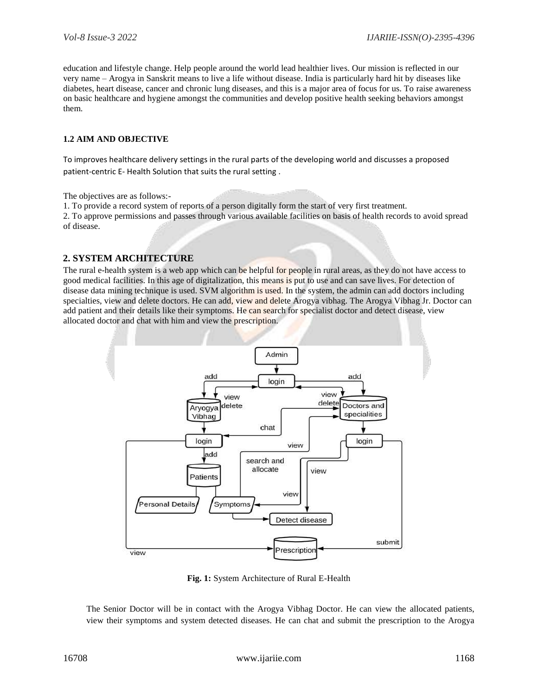education and lifestyle change. Help people around the world lead healthier lives. Our mission is reflected in our very name – Arogya in Sanskrit means to live a life without disease. India is particularly hard hit by diseases like diabetes, heart disease, cancer and chronic lung diseases, and this is a major area of focus for us. To raise awareness on basic healthcare and hygiene amongst the communities and develop positive health seeking behaviors amongst them.

#### **1.2 AIM AND OBJECTIVE**

To improves healthcare delivery settings in the rural parts of the developing world and discusses a proposed patient-centric E- Health Solution that suits the rural setting .

The objectives are as follows:-

1. To provide a record system of reports of a person digitally form the start of very first treatment. 2. To approve permissions and passes through various available facilities on basis of health records to avoid spread

of disease.

## **2. SYSTEM ARCHITECTURE**

The rural e-health system is a web app which can be helpful for people in rural areas, as they do not have access to good medical facilities. In this age of digitalization, this means is put to use and can save lives. For detection of disease data mining technique is used. SVM algorithm is used. In the system, the admin can add doctors including specialties, view and delete doctors. He can add, view and delete Arogya vibhag. The Arogya Vibhag Jr. Doctor can add patient and their details like their symptoms. He can search for specialist doctor and detect disease, view allocated doctor and chat with him and view the prescription.



**Fig. 1:** System Architecture of Rural E-Health

The Senior Doctor will be in contact with the Arogya Vibhag Doctor. He can view the allocated patients, view their symptoms and system detected diseases. He can chat and submit the prescription to the Arogya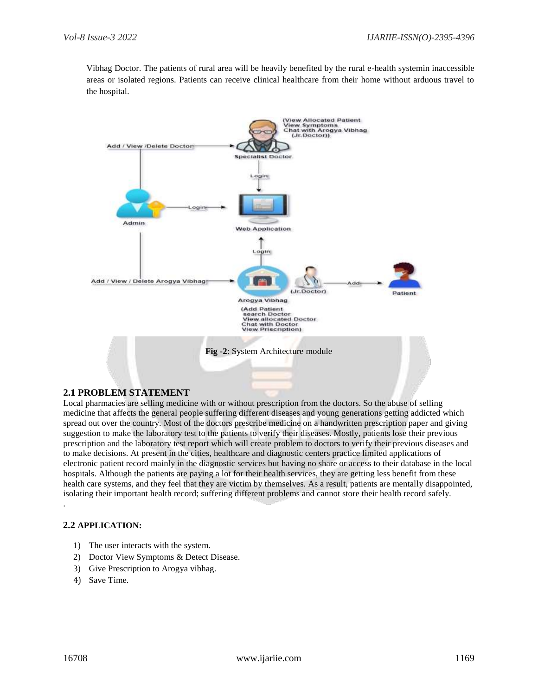Vibhag Doctor. The patients of rural area will be heavily benefited by the rural e-health systemin inaccessible areas or isolated regions. Patients can receive clinical healthcare from their home without arduous travel to the hospital.



## **2.1 PROBLEM STATEMENT**

Local pharmacies are selling medicine with or without prescription from the doctors. So the abuse of selling medicine that affects the general people suffering different diseases and young generations getting addicted which spread out over the country. Most of the doctors prescribe medicine on a handwritten prescription paper and giving suggestion to make the laboratory test to the patients to verify their diseases. Mostly, patients lose their previous prescription and the laboratory test report which will create problem to doctors to verify their previous diseases and to make decisions. At present in the cities, healthcare and diagnostic centers practice limited applications of electronic patient record mainly in the diagnostic services but having no share or access to their database in the local hospitals. Although the patients are paying a lot for their health services, they are getting less benefit from these health care systems, and they feel that they are victim by themselves. As a result, patients are mentally disappointed, isolating their important health record; suffering different problems and cannot store their health record safely.

#### **2.2 APPLICATION:**

- 1) The user interacts with the system.
- 2) Doctor View Symptoms & Detect Disease.
- 3) Give Prescription to Arogya vibhag.
- 4) Save Time.

.